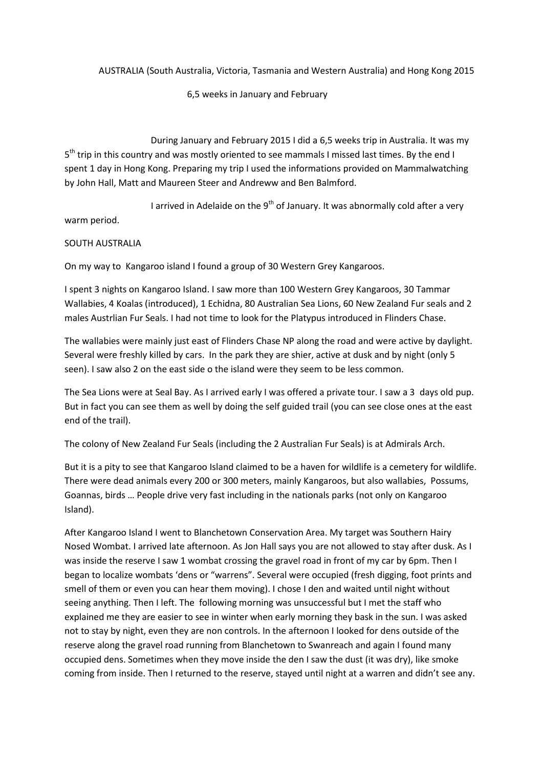AUSTRALIA (South Australia, Victoria, Tasmania and Western Australia) and Hong Kong 2015

6,5 weeks in January and February

During January and February 2015 I did a 6,5 weeks trip in Australia. It was my 5<sup>th</sup> trip in this country and was mostly oriented to see mammals I missed last times. By the end I spent 1 day in Hong Kong. Preparing my trip I used the informations provided on Mammalwatching by John Hall, Matt and Maureen Steer and Andreww and Ben Balmford.

I arrived in Adelaide on the 9<sup>th</sup> of January. It was abnormally cold after a very

warm period.

# SOUTH AUSTRALIA

On my way to Kangaroo island I found a group of 30 Western Grey Kangaroos.

I spent 3 nights on Kangaroo Island. I saw more than 100 Western Grey Kangaroos, 30 Tammar Wallabies, 4 Koalas (introduced), 1 Echidna, 80 Australian Sea Lions, 60 New Zealand Fur seals and 2 males Austrlian Fur Seals. I had not time to look for the Platypus introduced in Flinders Chase.

The wallabies were mainly just east of Flinders Chase NP along the road and were active by daylight. Several were freshly killed by cars. In the park they are shier, active at dusk and by night (only 5 seen). I saw also 2 on the east side o the island were they seem to be less common.

The Sea Lions were at Seal Bay. As I arrived early I was offered a private tour. I saw a 3 days old pup. But in fact you can see them as well by doing the self guided trail (you can see close ones at the east end of the trail).

The colony of New Zealand Fur Seals (including the 2 Australian Fur Seals) is at Admirals Arch.

But it is a pity to see that Kangaroo Island claimed to be a haven for wildlife is a cemetery for wildlife. There were dead animals every 200 or 300 meters, mainly Kangaroos, but also wallabies, Possums, Goannas, birds ... People drive very fast including in the nationals parks (not only on Kangaroo Island).

After Kangaroo Island I went to Blanchetown Conservation Area. My target was Southern Hairy Nosed Wombat. I arrived late afternoon. As Jon Hall says you are not allowed to stay after dusk. As I was inside the reserve I saw 1 wombat crossing the gravel road in front of my car by 6pm. Then I began to localize wombats 'dens or "warrens". Several were occupied (fresh digging, foot prints and smell of them or even you can hear them moving). I chose I den and waited until night without seeing anything. Then I left. The following morning was unsuccessful but I met the staff who explained me they are easier to see in winter when early morning they bask in the sun. I was asked not to stay by night, even they are non controls. In the afternoon I looked for dens outside of the reserve along the gravel road running from Blanchetown to Swanreach and again I found many occupied dens. Sometimes when they move inside the den I saw the dust (it was dry), like smoke coming from inside. Then I returned to the reserve, stayed until night at a warren and didn't see any.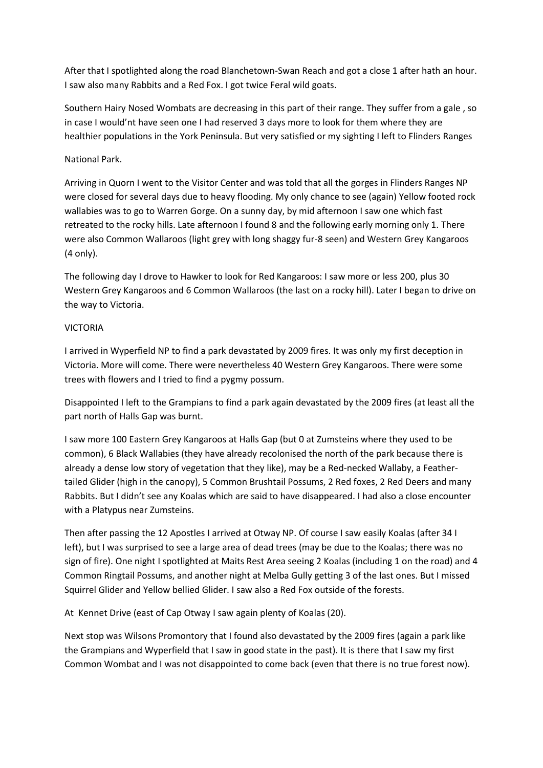After that I spotlighted along the road Blanchetown-Swan Reach and got a close 1 after hath an hour. I saw also many Rabbits and a Red Fox. I got twice Feral wild goats.

Southern Hairy Nosed Wombats are decreasing in this part of their range. They suffer from a gale, so in case I would'nt have seen one I had reserved 3 days more to look for them where they are healthier populations in the York Peninsula. But very satisfied or my sighting I left to Flinders Ranges

# National Park.

Arriving in Quorn I went to the Visitor Center and was told that all the gorges in Flinders Ranges NP were closed for several days due to heavy flooding. My only chance to see (again) Yellow footed rock wallabies was to go to Warren Gorge. On a sunny day, by mid afternoon I saw one which fast retreated to the rocky hills. Late afternoon I found 8 and the following early morning only 1. There were also Common Wallaroos (light grey with long shaggy fur-8 seen) and Western Grey Kangaroos  $(4 only).$ 

The following day I drove to Hawker to look for Red Kangaroos: I saw more or less 200, plus 30 Western Grey Kangaroos and 6 Common Wallaroos (the last on a rocky hill). Later I began to drive on the way to Victoria.

## **VICTORIA**

I arrived in Wyperfield NP to find a park devastated by 2009 fires. It was only my first deception in Victoria. More will come. There were nevertheless 40 Western Grey Kangaroos. There were some trees with flowers and I tried to find a pygmy possum.

Disappointed I left to the Grampians to find a park again devastated by the 2009 fires (at least all the part north of Halls Gap was burnt.

I saw more 100 Eastern Grey Kangaroos at Halls Gap (but 0 at Zumsteins where they used to be common), 6 Black Wallabies (they have already recolonised the north of the park because there is already a dense low story of vegetation that they like), may be a Red-necked Wallaby, a Feathertailed Glider (high in the canopy), 5 Common Brushtail Possums, 2 Red foxes, 2 Red Deers and many Rabbits. But I didn't see any Koalas which are said to have disappeared. I had also a close encounter with a Platypus near Zumsteins.

Then after passing the 12 Apostles I arrived at Otway NP. Of course I saw easily Koalas (after 34 I left), but I was surprised to see a large area of dead trees (may be due to the Koalas; there was no sign of fire). One night I spotlighted at Maits Rest Area seeing 2 Koalas (including 1 on the road) and 4 Common Ringtail Possums, and another night at Melba Gully getting 3 of the last ones. But I missed Squirrel Glider and Yellow bellied Glider. I saw also a Red Fox outside of the forests.

At Kennet Drive (east of Cap Otway I saw again plenty of Koalas (20).

Next stop was Wilsons Promontory that I found also devastated by the 2009 fires (again a park like the Grampians and Wyperfield that I saw in good state in the past). It is there that I saw my first Common Wombat and I was not disappointed to come back (even that there is no true forest now).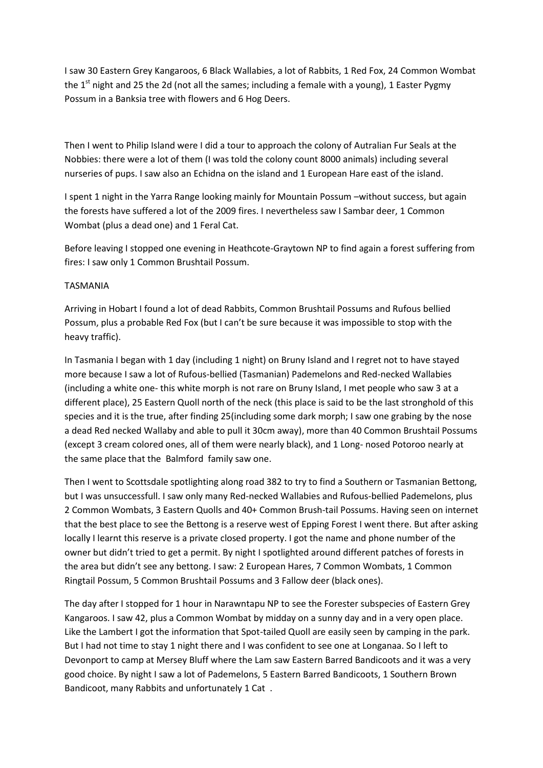I saw 30 Eastern Grey Kangaroos, 6 Black Wallabies, a lot of Rabbits, 1 Red Fox, 24 Common Wombat the  $1<sup>st</sup>$  night and 25 the 2d (not all the sames; including a female with a young), 1 Easter Pygmy Possum in a Banksia tree with flowers and 6 Hog Deers.

Then I went to Philip Island were I did a tour to approach the colony of Autralian Fur Seals at the Nobbies: there were a lot of them (I was told the colony count 8000 animals) including several nurseries of pups. I saw also an Echidna on the island and 1 European Hare east of the island.

I spent 1 night in the Yarra Range looking mainly for Mountain Possum -without success, but again the forests have suffered a lot of the 2009 fires. I nevertheless saw I Sambar deer, 1 Common Wombat (plus a dead one) and 1 Feral Cat.

Before leaving I stopped one evening in Heathcote-Graytown NP to find again a forest suffering from fires: I saw only 1 Common Brushtail Possum.

## **TASMANIA**

Arriving in Hobart I found a lot of dead Rabbits, Common Brushtail Possums and Rufous bellied Possum, plus a probable Red Fox (but I can't be sure because it was impossible to stop with the heavy traffic).

In Tasmania I began with 1 day (including 1 night) on Bruny Island and I regret not to have stayed more because I saw a lot of Rufous-bellied (Tasmanian) Pademelons and Red-necked Wallabies (including a white one-this white morph is not rare on Bruny Island, I met people who saw 3 at a different place), 25 Eastern Quoll north of the neck (this place is said to be the last stronghold of this species and it is the true, after finding 25 (including some dark morph; I saw one grabing by the nose a dead Red necked Wallaby and able to pull it 30cm away), more than 40 Common Brushtail Possums (except 3 cream colored ones, all of them were nearly black), and 1 Long- nosed Potoroo nearly at the same place that the Balmford family saw one.

Then I went to Scottsdale spotlighting along road 382 to try to find a Southern or Tasmanian Bettong, but I was unsuccessfull. I saw only many Red-necked Wallabies and Rufous-bellied Pademelons, plus 2 Common Wombats, 3 Eastern Quolls and 40+ Common Brush-tail Possums. Having seen on internet that the best place to see the Bettong is a reserve west of Epping Forest I went there. But after asking locally I learnt this reserve is a private closed property. I got the name and phone number of the owner but didn't tried to get a permit. By night I spotlighted around different patches of forests in the area but didn't see any bettong. I saw: 2 European Hares, 7 Common Wombats, 1 Common Ringtail Possum, 5 Common Brushtail Possums and 3 Fallow deer (black ones).

The day after I stopped for 1 hour in Narawntapu NP to see the Forester subspecies of Eastern Grey Kangaroos. I saw 42, plus a Common Wombat by midday on a sunny day and in a very open place. Like the Lambert I got the information that Spot-tailed Quoll are easily seen by camping in the park. But I had not time to stay 1 night there and I was confident to see one at Longanaa. So I left to Devonport to camp at Mersey Bluff where the Lam saw Eastern Barred Bandicoots and it was a very good choice. By night I saw a lot of Pademelons, 5 Eastern Barred Bandicoots, 1 Southern Brown Bandicoot, many Rabbits and unfortunately 1 Cat.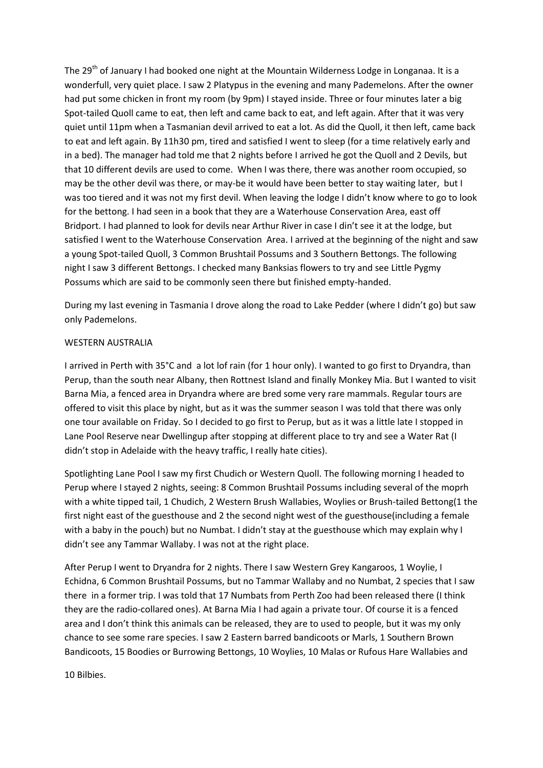The 29<sup>th</sup> of January I had booked one night at the Mountain Wilderness Lodge in Longanaa. It is a wonderfull, very quiet place. I saw 2 Platypus in the evening and many Pademelons. After the owner had put some chicken in front my room (by 9pm) I stayed inside. Three or four minutes later a big Spot-tailed Quoll came to eat, then left and came back to eat, and left again. After that it was very quiet until 11pm when a Tasmanian devil arrived to eat a lot. As did the Quoll, it then left, came back to eat and left again. By 11h30 pm, tired and satisfied I went to sleep (for a time relatively early and in a bed). The manager had told me that 2 nights before I arrived he got the Quoll and 2 Devils, but that 10 different devils are used to come. When I was there, there was another room occupied, so may be the other devil was there, or may-be it would have been better to stay waiting later, but I was too tiered and it was not my first devil. When leaving the lodge I didn't know where to go to look for the bettong. I had seen in a book that they are a Waterhouse Conservation Area, east off Bridport. I had planned to look for devils near Arthur River in case I din't see it at the lodge, but satisfied I went to the Waterhouse Conservation Area. I arrived at the beginning of the night and saw a young Spot-tailed Quoll, 3 Common Brushtail Possums and 3 Southern Bettongs. The following night I saw 3 different Bettongs. I checked many Banksias flowers to try and see Little Pygmy Possums which are said to be commonly seen there but finished empty-handed.

During my last evening in Tasmania I drove along the road to Lake Pedder (where I didn't go) but saw only!Pademelons.

### WESTERN AUSTRALIA

I arrived in Perth with 35°C and a lot lof rain (for 1 hour only). I wanted to go first to Dryandra, than Perup, than the south near Albany, then Rottnest Island and finally Monkey Mia. But I wanted to visit Barna Mia, a fenced area in Dryandra where are bred some very rare mammals. Regular tours are offered to visit this place by night, but as it was the summer season I was told that there was only one tour available on Friday. So I decided to go first to Perup, but as it was a little late I stopped in Lane Pool Reserve near Dwellingup after stopping at different place to try and see a Water Rat (I didn't stop in Adelaide with the heavy traffic, I really hate cities).

Spotlighting Lane Pool I saw my first Chudich or Western Quoll. The following morning I headed to Perup where I stayed 2 nights, seeing: 8 Common Brushtail Possums including several of the moprh with a white tipped tail, 1 Chudich, 2 Western Brush Wallabies, Woylies or Brush-tailed Bettong(1 the first night east of the guesthouse and 2 the second night west of the guesthouse(including a female with a baby in the pouch) but no Numbat. I didn't stay at the guesthouse which may explain why I didn't see any Tammar Wallaby. I was not at the right place.

After Perup I went to Dryandra for 2 nights. There I saw Western Grey Kangaroos, 1 Woylie, I Echidna, 6 Common Brushtail Possums, but no Tammar Wallaby and no Numbat, 2 species that I saw there in a former trip. I was told that 17 Numbats from Perth Zoo had been released there (I think they are the radio-collared ones). At Barna Mia I had again a private tour. Of course it is a fenced area and I don't think this animals can be released, they are to used to people, but it was my only chance to see some rare species. I saw 2 Eastern barred bandicoots or Marls, 1 Southern Brown Bandicoots, 15 Boodies or Burrowing Bettongs, 10 Woylies, 10 Malas or Rufous Hare Wallabies and

10 Bilbies.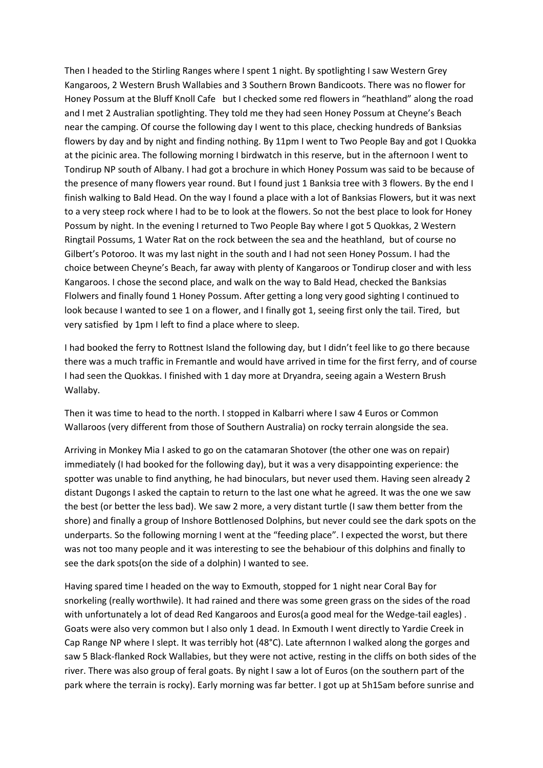Then I headed to the Stirling Ranges where I spent 1 night. By spotlighting I saw Western Grey Kangaroos, 2 Western Brush Wallabies and 3 Southern Brown Bandicoots. There was no flower for Honey Possum at the Bluff Knoll Cafe but I checked some red flowers in "heathland" along the road and I met 2 Australian spotlighting. They told me they had seen Honey Possum at Cheyne's Beach near the camping. Of course the following day I went to this place, checking hundreds of Banksias flowers by day and by night and finding nothing. By 11pm I went to Two People Bay and got I Quokka at the picinic area. The following morning I birdwatch in this reserve, but in the afternoon I went to Tondirup NP south of Albany. I had got a brochure in which Honey Possum was said to be because of the presence of many flowers year round. But I found just 1 Banksia tree with 3 flowers. By the end I finish walking to Bald Head. On the way I found a place with a lot of Banksias Flowers, but it was next to a very steep rock where I had to be to look at the flowers. So not the best place to look for Honey Possum by night. In the evening I returned to Two People Bay where I got 5 Quokkas, 2 Western Ringtail Possums, 1 Water Rat on the rock between the sea and the heathland, but of course no Gilbert's Potoroo. It was my last night in the south and I had not seen Honey Possum. I had the choice between Cheyne's Beach, far away with plenty of Kangaroos or Tondirup closer and with less Kangaroos. I chose the second place, and walk on the way to Bald Head, checked the Banksias Flolwers and finally found 1 Honey Possum. After getting a long very good sighting I continued to look because I wanted to see 1 on a flower, and I finally got 1, seeing first only the tail. Tired, but very satisfied by 1pm I left to find a place where to sleep.

I had booked the ferry to Rottnest Island the following day, but I didn't feel like to go there because there was a much traffic in Fremantle and would have arrived in time for the first ferry, and of course I had seen the Quokkas. I finished with 1 day more at Dryandra, seeing again a Western Brush Wallaby.

Then it was time to head to the north. I stopped in Kalbarri where I saw 4 Euros or Common Wallaroos (very different from those of Southern Australia) on rocky terrain alongside the sea.

Arriving in Monkey Mia I asked to go on the catamaran Shotover (the other one was on repair) immediately (I had booked for the following day), but it was a very disappointing experience: the spotter was unable to find anything, he had binoculars, but never used them. Having seen already 2 distant Dugongs I asked the captain to return to the last one what he agreed. It was the one we saw the best (or better the less bad). We saw 2 more, a very distant turtle (I saw them better from the shore) and finally a group of Inshore Bottlenosed Dolphins, but never could see the dark spots on the underparts. So the following morning I went at the "feeding place". I expected the worst, but there was not too many people and it was interesting to see the behabiour of this dolphins and finally to see the dark spots(on the side of a dolphin) I wanted to see.

Having spared time I headed on the way to Exmouth, stopped for 1 night near Coral Bay for snorkeling (really worthwile). It had rained and there was some green grass on the sides of the road with unfortunately a lot of dead Red Kangaroos and Euros(a good meal for the Wedge-tail eagles). Goats were also very common but I also only 1 dead. In Exmouth I went directly to Yardie Creek in Cap Range NP where I slept. It was terribly hot (48°C). Late afternnon I walked along the gorges and saw 5 Black-flanked Rock Wallabies, but they were not active, resting in the cliffs on both sides of the river. There was also group of feral goats. By night I saw a lot of Euros (on the southern part of the park where the terrain is rocky). Early morning was far better. I got up at 5h15am before sunrise and